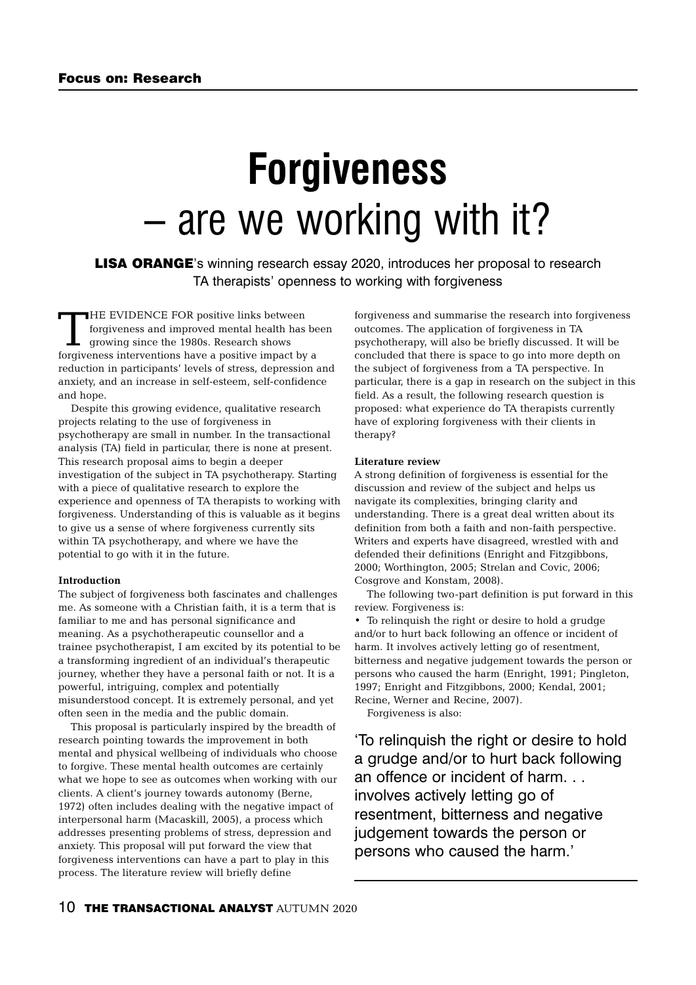# **Forgiveness**  – are we working with it?

LISA ORANGE's winning research essay 2020, introduces her proposal to research TA therapists' openness to working with forgiveness

THE EVIDENCE FOR positive links between forgiveness and improved mental health has been growing since the 1980s. Research shows forgiveness interventions have a positive impact by a reduction in participants' levels of stress, depression and anxiety, and an increase in self-esteem, self-confidence and hope.

Despite this growing evidence, qualitative research projects relating to the use of forgiveness in psychotherapy are small in number. In the transactional analysis (TA) field in particular, there is none at present. This research proposal aims to begin a deeper investigation of the subject in TA psychotherapy. Starting with a piece of qualitative research to explore the experience and openness of TA therapists to working with forgiveness. Understanding of this is valuable as it begins to give us a sense of where forgiveness currently sits within TA psychotherapy, and where we have the potential to go with it in the future.

### **Introduction**

The subject of forgiveness both fascinates and challenges me. As someone with a Christian faith, it is a term that is familiar to me and has personal significance and meaning. As a psychotherapeutic counsellor and a trainee psychotherapist, I am excited by its potential to be a transforming ingredient of an individual's therapeutic journey, whether they have a personal faith or not. It is a powerful, intriguing, complex and potentially misunderstood concept. It is extremely personal, and yet often seen in the media and the public domain.

This proposal is particularly inspired by the breadth of research pointing towards the improvement in both mental and physical wellbeing of individuals who choose to forgive. These mental health outcomes are certainly what we hope to see as outcomes when working with our clients. A client's journey towards autonomy (Berne, 1972) often includes dealing with the negative impact of interpersonal harm (Macaskill, 2005), a process which addresses presenting problems of stress, depression and anxiety. This proposal will put forward the view that forgiveness interventions can have a part to play in this process. The literature review will briefly define

forgiveness and summarise the research into forgiveness outcomes. The application of forgiveness in TA psychotherapy, will also be briefly discussed. It will be concluded that there is space to go into more depth on the subject of forgiveness from a TA perspective. In particular, there is a gap in research on the subject in this field. As a result, the following research question is proposed: what experience do TA therapists currently have of exploring forgiveness with their clients in therapy?

#### **Literature review**

A strong definition of forgiveness is essential for the discussion and review of the subject and helps us navigate its complexities, bringing clarity and understanding. There is a great deal written about its definition from both a faith and non-faith perspective. Writers and experts have disagreed, wrestled with and defended their definitions (Enright and Fitzgibbons, 2000; Worthington, 2005; Strelan and Covic, 2006; Cosgrove and Konstam, 2008).

The following two-part definition is put forward in this review. Forgiveness is:

• To relinquish the right or desire to hold a grudge and/or to hurt back following an offence or incident of harm. It involves actively letting go of resentment, bitterness and negative judgement towards the person or persons who caused the harm (Enright, 1991; Pingleton, 1997; Enright and Fitzgibbons, 2000; Kendal, 2001; Recine, Werner and Recine, 2007).

Forgiveness is also:

'To relinquish the right or desire to hold a grudge and/or to hurt back following an offence or incident of harm. . . involves actively letting go of resentment, bitterness and negative judgement towards the person or persons who caused the harm.'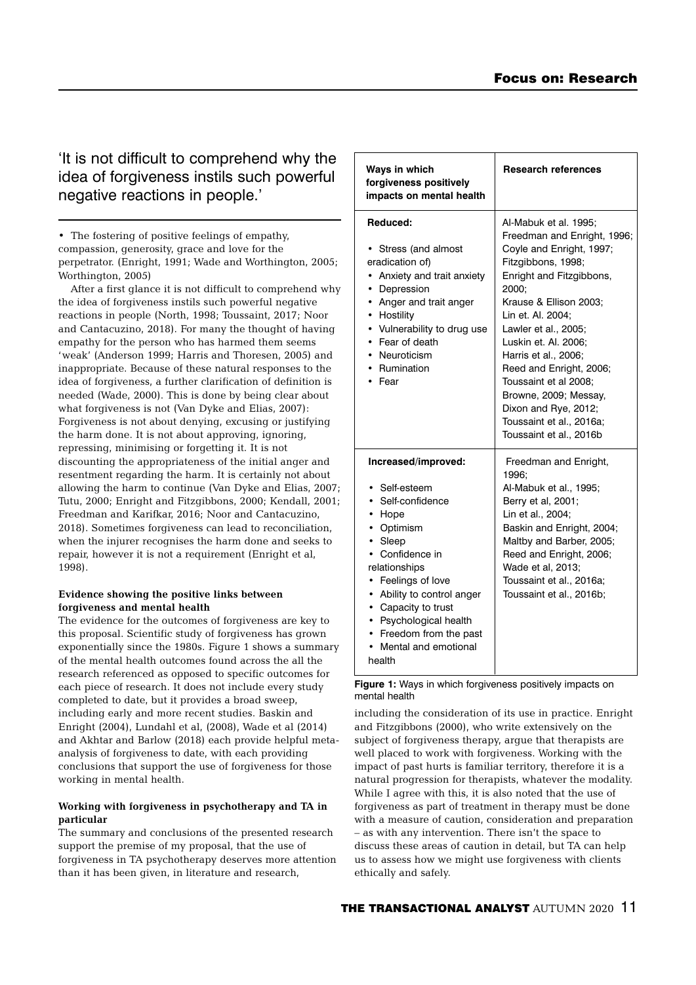# 'It is not difficult to comprehend why the idea of forgiveness instils such powerful negative reactions in people.'

• The fostering of positive feelings of empathy, compassion, generosity, grace and love for the perpetrator. (Enright, 1991; Wade and Worthington, 2005; Worthington, 2005)

After a first glance it is not difficult to comprehend why the idea of forgiveness instils such powerful negative reactions in people (North, 1998; Toussaint, 2017; Noor and Cantacuzino, 2018). For many the thought of having empathy for the person who has harmed them seems 'weak' (Anderson 1999; Harris and Thoresen, 2005) and inappropriate. Because of these natural responses to the idea of forgiveness, a further clarification of definition is needed (Wade, 2000). This is done by being clear about what forgiveness is not (Van Dyke and Elias, 2007): Forgiveness is not about denying, excusing or justifying the harm done. It is not about approving, ignoring, repressing, minimising or forgetting it. It is not discounting the appropriateness of the initial anger and resentment regarding the harm. It is certainly not about allowing the harm to continue (Van Dyke and Elias, 2007; Tutu, 2000; Enright and Fitzgibbons, 2000; Kendall, 2001; Freedman and Karifkar, 2016; Noor and Cantacuzino, 2018). Sometimes forgiveness can lead to reconciliation, when the injurer recognises the harm done and seeks to repair, however it is not a requirement (Enright et al, 1998).

# **Evidence showing the positive links between forgiveness and mental health**

The evidence for the outcomes of forgiveness are key to this proposal. Scientific study of forgiveness has grown exponentially since the 1980s. Figure 1 shows a summary of the mental health outcomes found across the all the research referenced as opposed to specific outcomes for each piece of research. It does not include every study completed to date, but it provides a broad sweep, including early and more recent studies. Baskin and Enright (2004), Lundahl et al, (2008), Wade et al (2014) and Akhtar and Barlow (2018) each provide helpful metaanalysis of forgiveness to date, with each providing conclusions that support the use of forgiveness for those working in mental health.

# **Working with forgiveness in psychotherapy and TA in particular**

The summary and conclusions of the presented research support the premise of my proposal, that the use of forgiveness in TA psychotherapy deserves more attention than it has been given, in literature and research,

| Ways in which<br>forgiveness positively<br>impacts on mental health                                                                                                                                                                                                                            | <b>Research references</b>                                                                                                                                                                                                                                                                                                                                                                                                     |
|------------------------------------------------------------------------------------------------------------------------------------------------------------------------------------------------------------------------------------------------------------------------------------------------|--------------------------------------------------------------------------------------------------------------------------------------------------------------------------------------------------------------------------------------------------------------------------------------------------------------------------------------------------------------------------------------------------------------------------------|
| Reduced:<br>Stress (and almost<br>eradication of)<br>Anxiety and trait anxiety<br>• Depression<br>• Anger and trait anger<br>• Hostility<br>• Vulnerability to drug use<br>• Fear of death<br>Neuroticism<br>Rumination<br>Fear                                                                | Al-Mabuk et al. 1995:<br>Freedman and Enright, 1996;<br>Coyle and Enright, 1997;<br>Fitzgibbons, 1998;<br>Enright and Fitzgibbons,<br>2000:<br>Krause & Ellison 2003:<br>Lin et. Al. 2004:<br>Lawler et al., 2005;<br>Luskin et. Al. 2006:<br>Harris et al., 2006;<br>Reed and Enright, 2006;<br>Toussaint et al 2008;<br>Browne, 2009; Messay,<br>Dixon and Rye, 2012;<br>Toussaint et al., 2016a;<br>Toussaint et al., 2016b |
| Increased/improved:<br>• Self-esteem<br>• Self-confidence<br>• Hope<br>• Optimism<br>• Sleep<br>Confidence in<br>relationships<br>Feelings of love<br>• Ability to control anger<br>• Capacity to trust<br>• Psychological health<br>• Freedom from the past<br>Mental and emotional<br>health | Freedman and Enright,<br>1996:<br>Al-Mabuk et al., 1995;<br>Berry et al, 2001;<br>Lin et al., 2004;<br>Baskin and Enright, 2004;<br>Maltby and Barber, 2005;<br>Reed and Enright, 2006;<br>Wade et al, 2013;<br>Toussaint et al., 2016a;<br>Toussaint et al., 2016b;                                                                                                                                                           |

**Figure 1:** Ways in which forgiveness positively impacts on mental health

including the consideration of its use in practice. Enright and Fitzgibbons (2000), who write extensively on the subject of forgiveness therapy, argue that therapists are well placed to work with forgiveness. Working with the impact of past hurts is familiar territory, therefore it is a natural progression for therapists, whatever the modality. While I agree with this, it is also noted that the use of forgiveness as part of treatment in therapy must be done with a measure of caution, consideration and preparation – as with any intervention. There isn't the space to discuss these areas of caution in detail, but TA can help us to assess how we might use forgiveness with clients ethically and safely.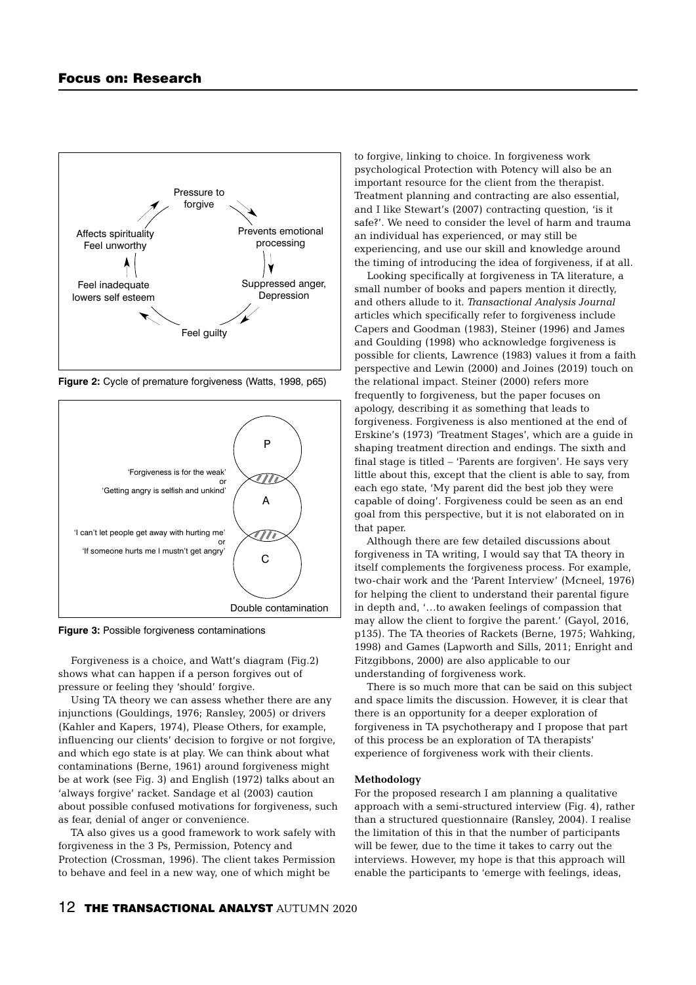

**Figure 2:** Cycle of premature forgiveness (Watts, 1998, p65)



**Figure 3:** Possible forgiveness contaminations

Forgiveness is a choice, and Watt's diagram (Fig.2) shows what can happen if a person forgives out of pressure or feeling they 'should' forgive.

Using TA theory we can assess whether there are any injunctions (Gouldings, 1976; Ransley, 2005) or drivers (Kahler and Kapers, 1974), Please Others, for example, influencing our clients' decision to forgive or not forgive, and which ego state is at play. We can think about what contaminations (Berne, 1961) around forgiveness might be at work (see Fig. 3) and English (1972) talks about an 'always forgive' racket. Sandage et al (2003) caution about possible confused motivations for forgiveness, such as fear, denial of anger or convenience.

TA also gives us a good framework to work safely with forgiveness in the 3 Ps, Permission, Potency and Protection (Crossman, 1996). The client takes Permission to behave and feel in a new way, one of which might be

to forgive, linking to choice. In forgiveness work psychological Protection with Potency will also be an important resource for the client from the therapist. Treatment planning and contracting are also essential, and I like Stewart's (2007) contracting question, 'is it safe?'. We need to consider the level of harm and trauma an individual has experienced, or may still be experiencing, and use our skill and knowledge around the timing of introducing the idea of forgiveness, if at all.

Looking specifically at forgiveness in TA literature, a small number of books and papers mention it directly, and others allude to it. *Transactional Analysis Journal* articles which specifically refer to forgiveness include Capers and Goodman (1983), Steiner (1996) and James and Goulding (1998) who acknowledge forgiveness is possible for clients, Lawrence (1983) values it from a faith perspective and Lewin (2000) and Joines (2019) touch on the relational impact. Steiner (2000) refers more frequently to forgiveness, but the paper focuses on apology, describing it as something that leads to forgiveness. Forgiveness is also mentioned at the end of Erskine's (1973) 'Treatment Stages', which are a guide in shaping treatment direction and endings. The sixth and final stage is titled – 'Parents are forgiven'. He says very little about this, except that the client is able to say, from each ego state, 'My parent did the best job they were capable of doing'. Forgiveness could be seen as an end goal from this perspective, but it is not elaborated on in that paper.

Although there are few detailed discussions about forgiveness in TA writing, I would say that TA theory in itself complements the forgiveness process. For example, two-chair work and the 'Parent Interview' (Mcneel, 1976) for helping the client to understand their parental figure in depth and, '…to awaken feelings of compassion that may allow the client to forgive the parent.' (Gayol, 2016, p135). The TA theories of Rackets (Berne, 1975; Wahking, 1998) and Games (Lapworth and Sills, 2011; Enright and Fitzgibbons, 2000) are also applicable to our understanding of forgiveness work.

There is so much more that can be said on this subject and space limits the discussion. However, it is clear that there is an opportunity for a deeper exploration of forgiveness in TA psychotherapy and I propose that part of this process be an exploration of TA therapists' experience of forgiveness work with their clients.

#### **Methodology**

For the proposed research I am planning a qualitative approach with a semi-structured interview (Fig. 4), rather than a structured questionnaire (Ransley, 2004). I realise the limitation of this in that the number of participants will be fewer, due to the time it takes to carry out the interviews. However, my hope is that this approach will enable the participants to 'emerge with feelings, ideas,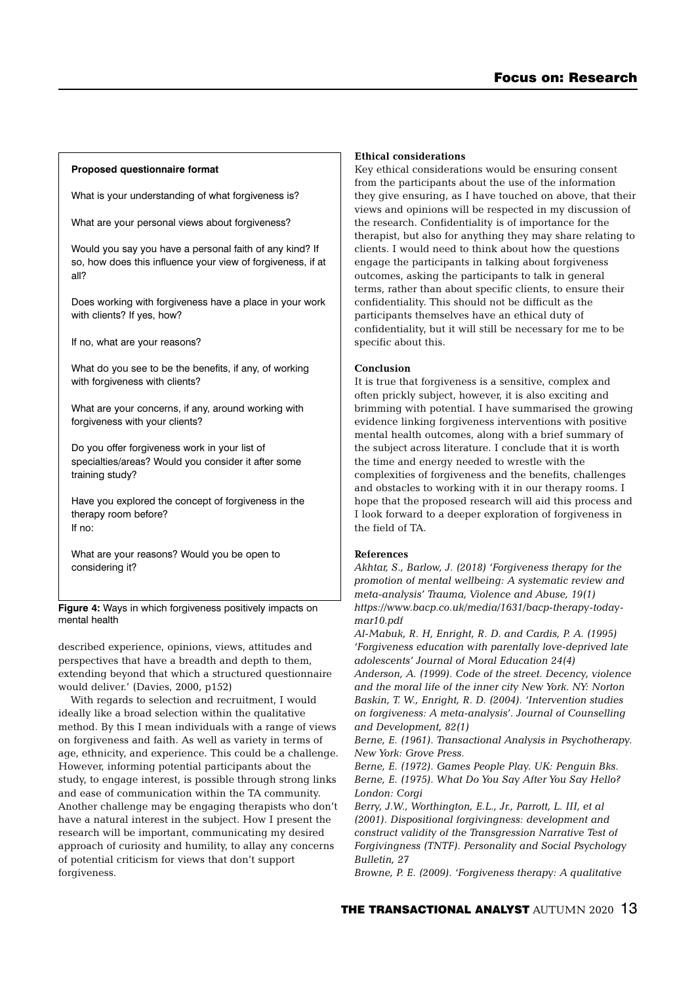# **Proposed questionnaire format**

What is your understanding of what forgiveness is?

What are your personal views about forgiveness?

Would you say you have a personal faith of any kind? If so, how does this influence your view of forgiveness, if at all?

Does working with forgiveness have a place in your work with clients? If yes, how?

If no, what are your reasons?

What do you see to be the benefits, if any, of working with forgiveness with clients?

What are your concerns, if any, around working with forgiveness with your clients?

Do you offer forgiveness work in your list of specialties/areas? Would you consider it after some training study?

Have you explored the concept of forgiveness in the therapy room before? If no:

What are your reasons? Would you be open to considering it?

**Figure 4:** Ways in which forgiveness positively impacts on mental health

described experience, opinions, views, attitudes and perspectives that have a breadth and depth to them, extending beyond that which a structured questionnaire would deliver.' (Davies, 2000, p152)

With regards to selection and recruitment. I would ideally like a broad selection within the qualitative method. By this I mean individuals with a range of views on forgiveness and faith. As well as variety in terms of age, ethnicity, and experience. This could be a challenge. However, informing potential participants about the study, to engage interest, is possible through strong links and ease of communication within the TA community. Another challenge may be engaging therapists who don't have a natural interest in the subject. How I present the research will be important, communicating my desired approach of curiosity and humility, to allay any concerns of potential criticism for views that don't support forgiveness.

# **Ethical considerations**

Key ethical considerations would be ensuring consent from the participants about the use of the information they give ensuring, as I have touched on above, that their views and opinions will be respected in my discussion of the research. Confidentiality is of importance for the therapist, but also for anything they may share relating to clients. I would need to think about how the questions engage the participants in talking about forgiveness outcomes, asking the participants to talk in general terms, rather than about specific clients, to ensure their confidentiality. This should not be difficult as the participants themselves have an ethical duty of confidentiality, but it will still be necessary for me to be specific about this.

# **Conclusion**

It is true that forgiveness is a sensitive, complex and often prickly subject, however, it is also exciting and brimming with potential. I have summarised the growing evidence linking forgiveness interventions with positive mental health outcomes, along with a brief summary of the subject across literature. I conclude that it is worth the time and energy needed to wrestle with the complexities of forgiveness and the benefits, challenges and obstacles to working with it in our therapy rooms. I hope that the proposed research will aid this process and I look forward to a deeper exploration of forgiveness in the field of TA.

# **References**

*Akhtar, S., Barlow, J. (2018) 'Forgiveness therapy for the promotion of mental wellbeing: A systematic review and meta-analysis' Trauma, Violence and Abuse, 19(1) https://www.bacp.co.uk/media/1631/bacp-therapy-todaymar10.pdf*

*Al-Mabuk, R. H, Enright, R. D. and Cardis, P. A. (1995) 'Forgiveness education with parentally love-deprived late adolescents' Journal of Moral Education 24(4) Anderson, A. (1999). Code of the street. Decency, violence and the moral life of the inner city New York. NY: Norton Baskin, T. W., Enright, R. D. (2004). 'Intervention studies on forgiveness: A meta-analysis'. Journal of Counselling and Development, 82(1)*

*Berne, E. (1961). Transactional Analysis in Psychotherapy. New York: Grove Press.* 

*Berne, E. (1972). Games People Play. UK: Penguin Bks. Berne, E. (1975). What Do You Say After You Say Hello? London: Corgi*

*Berry, J.W., Worthington, E.L., Jr., Parrott, L. III, et al (2001). Dispositional forgivingness: development and construct validity of the Transgression Narrative Test of Forgivingness (TNTF). Personality and Social Psychology Bulletin, 27* 

*Browne, P. E. (2009). 'Forgiveness therapy: A qualitative*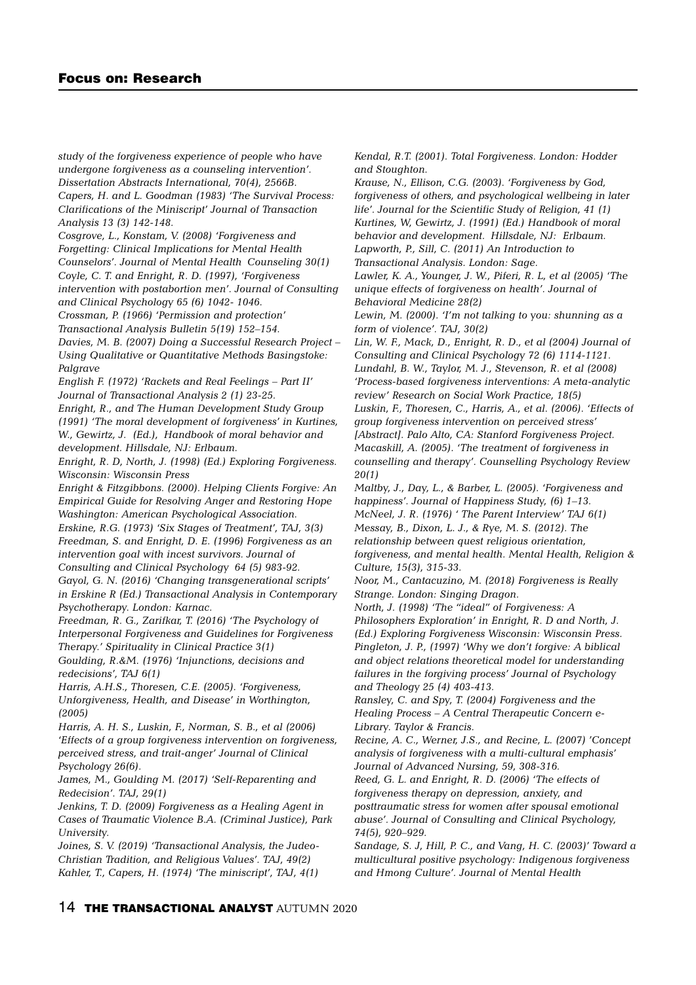*study of the forgiveness experience of people who have undergone forgiveness as a counseling intervention'. Dissertation Abstracts International, 70(4), 2566B. Capers, H. and L. Goodman (1983) 'The Survival Process: Clarifications of the Miniscript' Journal of Transaction Analysis 13 (3) 142-148.*

*Cosgrove, L., Konstam, V. (2008) 'Forgiveness and Forgetting: Clinical Implications for Mental Health Counselors'. Journal of Mental Health Counseling 30(1) Coyle, C. T. and Enright, R. D. (1997), 'Forgiveness intervention with postabortion men'. Journal of Consulting*

*and Clinical Psychology 65 (6) 1042- 1046.*

*Crossman, P. (1966) 'Permission and protection'*

*Transactional Analysis Bulletin 5(19) 152–154.*

*Davies, M. B. (2007) Doing a Successful Research Project – Using Qualitative or Quantitative Methods Basingstoke: Palgrave*

*English F. (1972) 'Rackets and Real Feelings – Part II' Journal of Transactional Analysis 2 (1) 23-25.*

*Enright, R., and The Human Development Study Group (1991) 'The moral development of forgiveness' in Kurtines, W., Gewirtz, J. (Ed.), Handbook of moral behavior and development. Hillsdale, NJ: Erlbaum.*

*Enright, R. D, North, J. (1998) (Ed.) Exploring Forgiveness. Wisconsin: Wisconsin Press*

*Enright & Fitzgibbons. (2000). Helping Clients Forgive: An Empirical Guide for Resolving Anger and Restoring Hope Washington: American Psychological Association.*

*Erskine, R.G. (1973) 'Six Stages of Treatment', TAJ, 3(3) Freedman, S. and Enright, D. E. (1996) Forgiveness as an intervention goal with incest survivors. Journal of Consulting and Clinical Psychology 64 (5) 983-92. Gayol, G. N. (2016) 'Changing transgenerational scripts' in Erskine R (Ed.) Transactional Analysis in Contemporary*

*Psychotherapy. London: Karnac. Freedman, R. G., Zarifkar, T. (2016) 'The Psychology of*

*Interpersonal Forgiveness and Guidelines for Forgiveness Therapy.' Spirituality in Clinical Practice 3(1)* 

*Goulding, R.&M. (1976) 'Injunctions, decisions and redecisions', TAJ 6(1)*

*Harris, A.H.S., Thoresen, C.E. (2005). 'Forgiveness, Unforgiveness, Health, and Disease' in Worthington, (2005)*

*Harris, A. H. S., Luskin, F., Norman, S. B., et al (2006) 'Effects of a group forgiveness intervention on forgiveness, perceived stress, and trait-anger' Journal of Clinical Psychology 26(6).*

*James, M., Goulding M. (2017) 'Self-Reparenting and Redecision'. TAJ, 29(1)*

*Jenkins, T. D. (2009) Forgiveness as a Healing Agent in Cases of Traumatic Violence B.A. (Criminal Justice), Park University.* 

*Joines, S. V. (2019) 'Transactional Analysis, the Judeo-Christian Tradition, and Religious Values'. TAJ, 49(2) Kahler, T., Capers, H. (1974) 'The miniscript', TAJ, 4(1)*

*Kendal, R.T. (2001). Total Forgiveness. London: Hodder and Stoughton.*

*Krause, N., Ellison, C.G. (2003). 'Forgiveness by God, forgiveness of others, and psychological wellbeing in later life'. Journal for the Scientific Study of Religion, 41 (1) Kurtines, W, Gewirtz, J. (1991) (Ed.) Handbook of moral behavior and development. Hillsdale, NJ: Erlbaum. Lapworth, P., Sill, C. (2011) An Introduction to*

*Transactional Analysis. London: Sage.*

*Lawler, K. A., Younger, J. W., Piferi, R. L, et al (2005) 'The unique effects of forgiveness on health'. Journal of Behavioral Medicine 28(2)* 

*Lewin, M. (2000). 'I'm not talking to you: shunning as a form of violence'. TAJ, 30(2)*

*Lin, W. F., Mack, D., Enright, R. D., et al (2004) Journal of Consulting and Clinical Psychology 72 (6) 1114-1121. Lundahl, B. W., Taylor, M. J., Stevenson, R. et al (2008) 'Process-based forgiveness interventions: A meta-analytic review' Research on Social Work Practice, 18(5)* 

*Luskin, F., Thoresen, C., Harris, A., et al. (2006). 'Effects of group forgiveness intervention on perceived stress' [Abstract]. Palo Alto, CA: Stanford Forgiveness Project. Macaskill, A. (2005). 'The treatment of forgiveness in counselling and therapy'. Counselling Psychology Review 20(1)*

*Maltby, J., Day, L., & Barber, L. (2005). 'Forgiveness and happiness'. Journal of Happiness Study, (6) 1–13. McNeel, J. R. (1976) ' The Parent Interview' TAJ 6(1) Messay, B., Dixon, L. J., & Rye, M. S. (2012). The relationship between quest religious orientation, forgiveness, and mental health. Mental Health, Religion & Culture, 15(3), 315-33.*

*Noor, M., Cantacuzino, M. (2018) Forgiveness is Really Strange. London: Singing Dragon.*

*North, J. (1998) 'The "ideal" of Forgiveness: A Philosophers Exploration' in Enright, R. D and North, J. (Ed.) Exploring Forgiveness Wisconsin: Wisconsin Press. Pingleton, J. P., (1997) 'Why we don't forgive: A biblical and object relations theoretical model for understanding failures in the forgiving process' Journal of Psychology and Theology 25 (4) 403-413.*

*Ransley, C. and Spy, T. (2004) Forgiveness and the Healing Process – A Central Therapeutic Concern e-Library. Taylor & Francis.*

*Recine, A. C., Werner, J.S., and Recine, L. (2007) 'Concept analysis of forgiveness with a multi-cultural emphasis' Journal of Advanced Nursing, 59, 308-316.*

*Reed, G. L. and Enright, R. D. (2006) 'The effects of forgiveness therapy on depression, anxiety, and posttraumatic stress for women after spousal emotional abuse'. Journal of Consulting and Clinical Psychology, 74(5), 920–929.*

*Sandage, S. J, Hill, P. C., and Vang, H. C. (2003)' Toward a multicultural positive psychology: Indigenous forgiveness and Hmong Culture'. Journal of Mental Health*